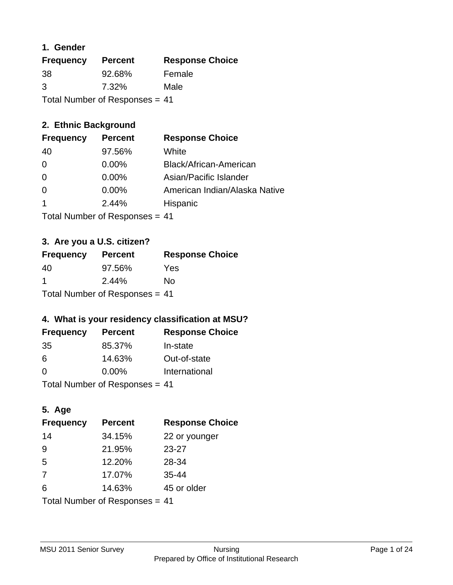## **1. Gender**

| <b>Frequency</b>               | <b>Percent</b> | <b>Response Choice</b> |
|--------------------------------|----------------|------------------------|
| 38                             | 92.68%         | Female                 |
| 3                              | 7.32%          | Male                   |
| Total Number of Responses = 41 |                |                        |

## **2. Ethnic Background**

| <b>Frequency</b> | <b>Percent</b> | <b>Response Choice</b>        |
|------------------|----------------|-------------------------------|
| 40               | 97.56%         | White                         |
| 0                | $0.00\%$       | Black/African-American        |
| $\Omega$         | 0.00%          | Asian/Pacific Islander        |
| $\Omega$         | 0.00%          | American Indian/Alaska Native |
|                  | 2.44%          | Hispanic                      |
|                  |                |                               |

Total Number of Responses = 41

## **3. Are you a U.S. citizen?**

| <b>Frequency</b>               | <b>Percent</b> | <b>Response Choice</b> |
|--------------------------------|----------------|------------------------|
| 40                             | 97.56%         | Yes                    |
| -1                             | 2.44%          | No                     |
| Total Number of Responses = 41 |                |                        |

## **4. What is your residency classification at MSU?**

| <b>Frequency</b> | <b>Percent</b> | <b>Response Choice</b> |
|------------------|----------------|------------------------|
| 35               | 85.37%         | In-state               |
| 6                | 14.63%         | Out-of-state           |
| $\Omega$         | $0.00\%$       | International          |
|                  |                |                        |

Total Number of Responses = 41

## **5. Age**

| <b>Frequency</b>               | <b>Percent</b> | <b>Response Choice</b> |
|--------------------------------|----------------|------------------------|
| 14                             | 34.15%         | 22 or younger          |
| 9                              | 21.95%         | $23 - 27$              |
| 5                              | 12.20%         | 28-34                  |
| 7                              | 17.07%         | $35 - 44$              |
| 6                              | 14.63%         | 45 or older            |
| Total Number of Responses = 41 |                |                        |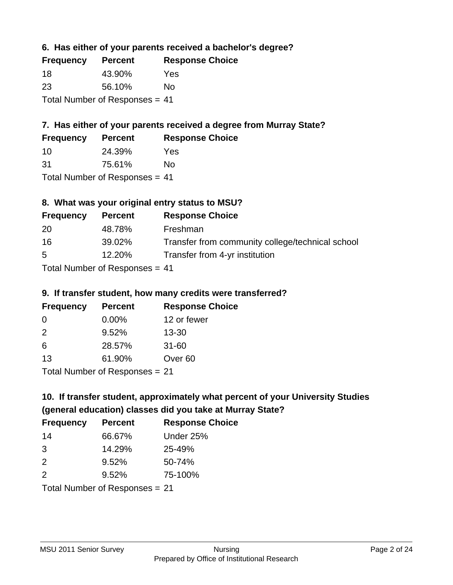## **6. Has either of your parents received a bachelor's degree?**

| <b>Frequency</b>               | <b>Percent</b> | <b>Response Choice</b> |
|--------------------------------|----------------|------------------------|
| -18                            | 43.90%         | Yes                    |
| -23                            | 56.10%         | No                     |
| Total Number of Responses = 41 |                |                        |

## **7. Has either of your parents received a degree from Murray State?**

| <b>Frequency</b> | <b>Percent</b> | <b>Response Choice</b> |
|------------------|----------------|------------------------|
| -10              | 24.39%         | Yes                    |
| -31              | 75.61%         | No                     |

Total Number of Responses = 41

## **8. What was your original entry status to MSU?**

| <b>Frequency</b> | <b>Percent</b>                   | <b>Response Choice</b>                           |
|------------------|----------------------------------|--------------------------------------------------|
| 20               | 48.78%                           | Freshman                                         |
| 16               | 39.02%                           | Transfer from community college/technical school |
| 5                | 12.20%                           | Transfer from 4-yr institution                   |
|                  | Total Number of Responses $= 41$ |                                                  |

## **9. If transfer student, how many credits were transferred?**

| <b>Frequency</b> | <b>Percent</b>                 | <b>Response Choice</b> |
|------------------|--------------------------------|------------------------|
| -0               | $0.00\%$                       | 12 or fewer            |
| $\mathcal{P}$    | 9.52%                          | $13 - 30$              |
| 6                | 28.57%                         | $31 - 60$              |
| 13               | 61.90%                         | Over <sub>60</sub>     |
|                  | Total Number of Recnonces - 21 |                        |

Total Number of Responses = 21

## **10. If transfer student, approximately what percent of your University Studies (general education) classes did you take at Murray State?**

| <b>Frequency</b>               | <b>Percent</b> | <b>Response Choice</b> |
|--------------------------------|----------------|------------------------|
| 14                             | 66.67%         | Under 25%              |
| 3                              | 14.29%         | 25-49%                 |
| 2                              | 9.52%          | 50-74%                 |
| 2                              | 9.52%          | 75-100%                |
| Total Number of Responses = 21 |                |                        |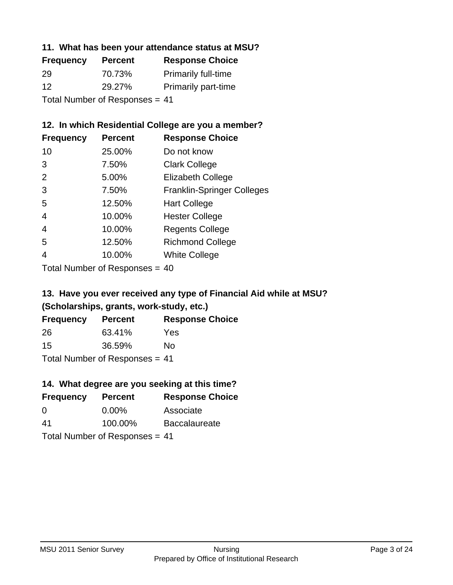#### **11. What has been your attendance status at MSU?**

| <b>Frequency</b>           | <b>Percent</b> | <b>Response Choice</b>     |
|----------------------------|----------------|----------------------------|
| 29                         | 70.73%         | <b>Primarily full-time</b> |
| 12                         | 29.27%         | <b>Primarily part-time</b> |
| Tatal Number of Desperance |                |                            |

Total Number of Responses = 41

## **12. In which Residential College are you a member?**

| <b>Frequency</b> | <b>Percent</b> | <b>Response Choice</b>            |
|------------------|----------------|-----------------------------------|
| 10               | 25.00%         | Do not know                       |
| 3                | 7.50%          | <b>Clark College</b>              |
| $\mathcal{P}$    | 5.00%          | <b>Elizabeth College</b>          |
| 3                | 7.50%          | <b>Franklin-Springer Colleges</b> |
| 5                | 12.50%         | <b>Hart College</b>               |
| 4                | 10.00%         | <b>Hester College</b>             |
| 4                | 10.00%         | <b>Regents College</b>            |
| 5                | 12.50%         | <b>Richmond College</b>           |
|                  | 10.00%         | <b>White College</b>              |
|                  |                |                                   |

Total Number of Responses = 40

## **13. Have you ever received any type of Financial Aid while at MSU? (Scholarships, grants, work-study, etc.)**

| <b>Frequency</b>                 | <b>Percent</b> | <b>Response Choice</b> |
|----------------------------------|----------------|------------------------|
| 26                               | 63.41%         | Yes                    |
| 15                               | 36.59%         | Nο                     |
| Total Number of Responses $= 41$ |                |                        |

## **14. What degree are you seeking at this time?**

| <b>Frequency</b>               | <b>Percent</b> | <b>Response Choice</b> |
|--------------------------------|----------------|------------------------|
| 0                              | $0.00\%$       | Associate              |
| 41                             | 100.00%        | <b>Baccalaureate</b>   |
| Total Number of Responses = 41 |                |                        |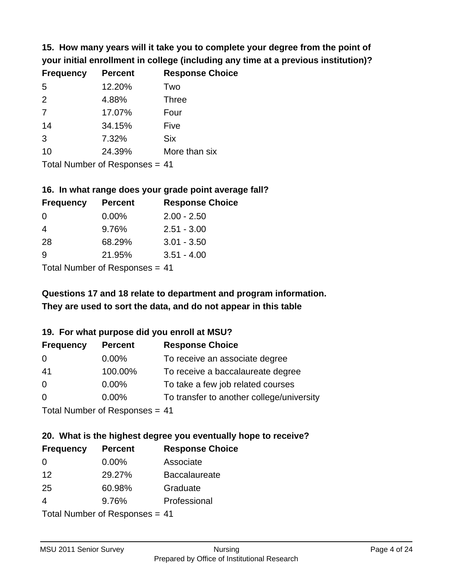**15. How many years will it take you to complete your degree from the point of your initial enrollment in college (including any time at a previous institution)?**

| <b>Frequency</b> | <b>Percent</b> | <b>Response Choice</b> |
|------------------|----------------|------------------------|
| 5                | 12.20%         | Two                    |
| 2                | 4.88%          | <b>Three</b>           |
| 7                | 17.07%         | Four                   |
| 14               | 34.15%         | Five                   |
| 3                | 7.32%          | <b>Six</b>             |
| 10               | 24.39%         | More than six          |
|                  |                |                        |

Total Number of Responses = 41

#### **16. In what range does your grade point average fall?**

| <b>Frequency</b> | <b>Percent</b> | <b>Response Choice</b> |
|------------------|----------------|------------------------|
| -0               | $0.00\%$       | $2.00 - 2.50$          |
| 4                | 9.76%          | $2.51 - 3.00$          |
| 28               | 68.29%         | $3.01 - 3.50$          |
| 9                | 21.95%         | $3.51 - 4.00$          |
| _                |                |                        |

Total Number of Responses = 41

## **They are used to sort the data, and do not appear in this table Questions 17 and 18 relate to department and program information.**

#### **19. For what purpose did you enroll at MSU?**

| <b>Frequency</b> | <b>Percent</b>                 | <b>Response Choice</b>                    |
|------------------|--------------------------------|-------------------------------------------|
| 0                | $0.00\%$                       | To receive an associate degree            |
| 41               | 100.00%                        | To receive a baccalaureate degree         |
| $\overline{0}$   | $0.00\%$                       | To take a few job related courses         |
| $\Omega$         | $0.00\%$                       | To transfer to another college/university |
|                  | Total Number of Responses = 41 |                                           |

## **20. What is the highest degree you eventually hope to receive?**

| <b>Frequency</b>                | <b>Percent</b> | <b>Response Choice</b> |
|---------------------------------|----------------|------------------------|
| $\Omega$                        | 0.00%          | Associate              |
| 12                              | 29.27%         | <b>Baccalaureate</b>   |
| 25                              | 60.98%         | Graduate               |
| 4                               | 9.76%          | Professional           |
| $Total Number of DoEROROR = 44$ |                |                        |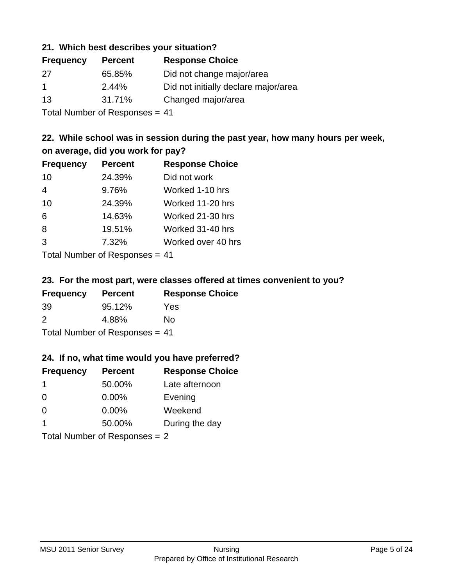#### **21. Which best describes your situation?**

| <b>Frequency</b> | <b>Percent</b> | <b>Response Choice</b>               |
|------------------|----------------|--------------------------------------|
| -27              | 65.85%         | Did not change major/area            |
| $\mathbf 1$      | 2.44%          | Did not initially declare major/area |
| -13              | 31.71%         | Changed major/area                   |
|                  |                |                                      |

Total Number of Responses = 41

## **22. While school was in session during the past year, how many hours per week, on average, did you work for pay?**

| <b>Frequency</b> | <b>Percent</b> | <b>Response Choice</b> |
|------------------|----------------|------------------------|
| 10               | 24.39%         | Did not work           |
| 4                | 9.76%          | Worked 1-10 hrs        |
| 10               | 24.39%         | Worked 11-20 hrs       |
| 6                | 14.63%         | Worked 21-30 hrs       |
| 8                | 19.51%         | Worked 31-40 hrs       |
| 3                | 7.32%          | Worked over 40 hrs     |
|                  |                |                        |

Total Number of Responses = 41

#### **23. For the most part, were classes offered at times convenient to you?**

| <b>Frequency</b>                 | <b>Percent</b> | <b>Response Choice</b> |
|----------------------------------|----------------|------------------------|
| -39                              | 95.12%         | Yes                    |
| $\mathcal{P}$                    | 4.88%          | No.                    |
| Total Number of Responses $= 41$ |                |                        |

#### **24. If no, what time would you have preferred?**

| <b>Frequency</b> | <b>Percent</b>                  | <b>Response Choice</b> |
|------------------|---------------------------------|------------------------|
| -1               | 50.00%                          | Late afternoon         |
| $\Omega$         | 0.00%                           | Evening                |
| $\Omega$         | $0.00\%$                        | Weekend                |
| -1               | 50.00%                          | During the day         |
|                  | Total Number of Responses $= 2$ |                        |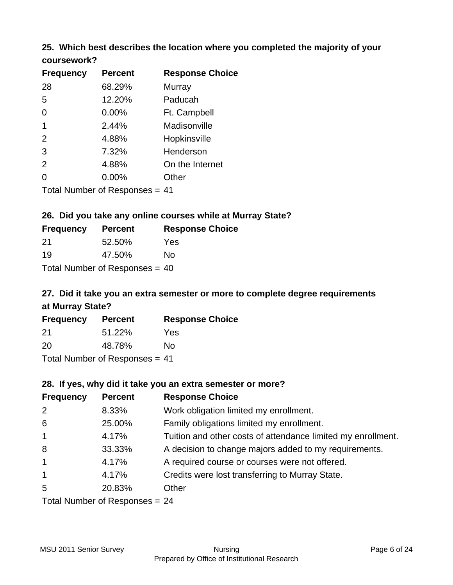## **25. Which best describes the location where you completed the majority of your**

| coursework? |  |
|-------------|--|
|-------------|--|

| <b>Frequency</b>            | <b>Percent</b> | <b>Response Choice</b> |
|-----------------------------|----------------|------------------------|
| 28                          | 68.29%         | <b>Murray</b>          |
| 5                           | 12.20%         | Paducah                |
| $\overline{0}$              | 0.00%          | Ft. Campbell           |
| $\mathbf 1$                 | 2.44%          | Madisonville           |
| 2                           | 4.88%          | Hopkinsville           |
| 3                           | 7.32%          | Henderson              |
| 2                           | 4.88%          | On the Internet        |
| 0                           | 0.00%          | Other                  |
| Tetal Niumber of Desperance |                | $\overline{A}$         |

Total Number of Responses = 41

## **26. Did you take any online courses while at Murray State?**

| <b>Frequency</b>               | <b>Percent</b> | <b>Response</b> |  |
|--------------------------------|----------------|-----------------|--|
| -21                            | 52.50%         | Yes             |  |
| 19                             | 47.50%         | Nο              |  |
| Total Number of Responses = 40 |                |                 |  |

## **27. Did it take you an extra semester or more to complete degree requirements at Murray State?**

**Choice** 

| <b>Frequency</b>               | <b>Percent</b> | <b>Response Choice</b> |
|--------------------------------|----------------|------------------------|
| 21                             | 51.22%         | Yes                    |
| 20                             | 48.78%         | No                     |
| Total Number of Responses = 41 |                |                        |

**28. If yes, why did it take you an extra semester or more?**

| <b>Frequency</b>               | <b>Percent</b> | <b>Response Choice</b>                                       |
|--------------------------------|----------------|--------------------------------------------------------------|
| 2                              | 8.33%          | Work obligation limited my enrollment.                       |
| 6                              | 25.00%         | Family obligations limited my enrollment.                    |
| $\mathbf{1}$                   | 4.17%          | Tuition and other costs of attendance limited my enrollment. |
| 8                              | 33.33%         | A decision to change majors added to my requirements.        |
| $\mathbf{1}$                   | 4.17%          | A required course or courses were not offered.               |
| $\mathbf{1}$                   | 4.17%          | Credits were lost transferring to Murray State.              |
| 5                              | 20.83%         | Other                                                        |
| Total Number of Responses = 24 |                |                                                              |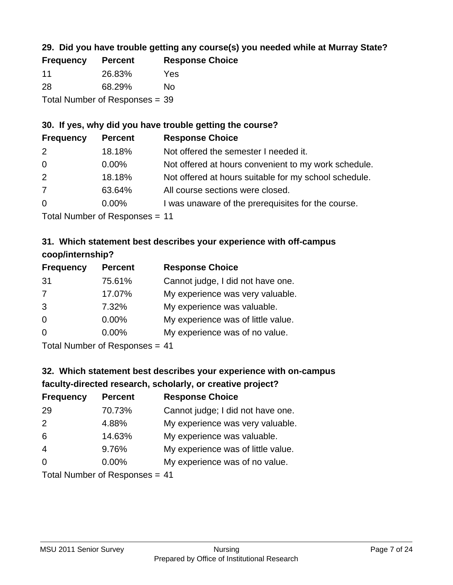## **29. Did you have trouble getting any course(s) you needed while at Murray State?**

| <b>Frequency</b>               | <b>Percent</b> | <b>Response Choice</b> |  |
|--------------------------------|----------------|------------------------|--|
| $-11$                          | 26.83%         | Yes                    |  |
| -28                            | 68.29%         | Nο                     |  |
| Total Number of Responses = 39 |                |                        |  |

## **30. If yes, why did you have trouble getting the course?**

| <b>Frequency</b> | <b>Percent</b> | <b>Response Choice</b>                                |
|------------------|----------------|-------------------------------------------------------|
| 2                | 18.18%         | Not offered the semester I needed it.                 |
| $\overline{0}$   | $0.00\%$       | Not offered at hours convenient to my work schedule.  |
| 2                | 18.18%         | Not offered at hours suitable for my school schedule. |
| $\overline{7}$   | 63.64%         | All course sections were closed.                      |
| $\overline{0}$   | $0.00\%$       | I was unaware of the prerequisites for the course.    |
|                  |                |                                                       |

Total Number of Responses = 11

## **31. Which statement best describes your experience with off-campus coop/internship?**

| <b>Frequency</b> | <b>Percent</b>                                                                                                                                                                                                                                                             | <b>Response Choice</b>             |
|------------------|----------------------------------------------------------------------------------------------------------------------------------------------------------------------------------------------------------------------------------------------------------------------------|------------------------------------|
| 31               | 75.61%                                                                                                                                                                                                                                                                     | Cannot judge, I did not have one.  |
| 7                | 17.07%                                                                                                                                                                                                                                                                     | My experience was very valuable.   |
| 3                | 7.32%                                                                                                                                                                                                                                                                      | My experience was valuable.        |
| $\Omega$         | $0.00\%$                                                                                                                                                                                                                                                                   | My experience was of little value. |
| $\Omega$         | 0.00%                                                                                                                                                                                                                                                                      | My experience was of no value.     |
|                  | $\tau$ and $\mathbf{M}$ and $\mathbf{M}$ and $\mathbf{M}$ is a set of $\mathbf{M}$ is a set of $\mathbf{M}$ is a set of $\mathbf{M}$ is a set of $\mathbf{M}$ is a set of $\mathbf{M}$ is a set of $\mathbf{M}$ is a set of $\mathbf{M}$ is a set of $\mathbf{M}$ is a set |                                    |

Total Number of Responses = 41

## **32. Which statement best describes your experience with on-campus faculty-directed research, scholarly, or creative project?**

| <b>Frequency</b> | <b>Percent</b>                  | <b>Response Choice</b>             |
|------------------|---------------------------------|------------------------------------|
| 29               | 70.73%                          | Cannot judge; I did not have one.  |
| 2                | 4.88%                           | My experience was very valuable.   |
| 6                | 14.63%                          | My experience was valuable.        |
| $\overline{4}$   | 9.76%                           | My experience was of little value. |
| $\Omega$         | 0.00%                           | My experience was of no value.     |
|                  | $Total Number of DoEROROR = 44$ |                                    |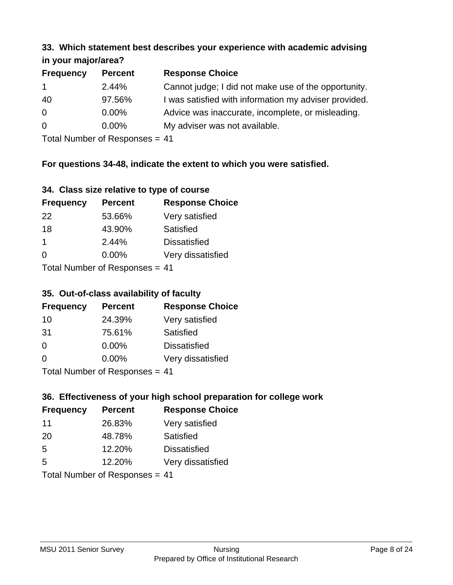#### **33. Which statement best describes your experience with academic advising in your major/area?**

| 11.70011110001701001 |                |                                                       |
|----------------------|----------------|-------------------------------------------------------|
| <b>Frequency</b>     | <b>Percent</b> | <b>Response Choice</b>                                |
| $\mathbf{1}$         | 2.44%          | Cannot judge; I did not make use of the opportunity.  |
| 40                   | 97.56%         | I was satisfied with information my adviser provided. |
| $\overline{0}$       | 0.00%          | Advice was inaccurate, incomplete, or misleading.     |
| 0                    | $0.00\%$       | My adviser was not available.                         |
|                      |                |                                                       |

Total Number of Responses = 41

## **For questions 34-48, indicate the extent to which you were satisfied.**

| 34. Class size relative to type of course |
|-------------------------------------------|
|-------------------------------------------|

| <b>Frequency</b>                | <b>Percent</b> | <b>Response Choice</b> |  |
|---------------------------------|----------------|------------------------|--|
| 22                              | 53.66%         | Very satisfied         |  |
| 18                              | 43.90%         | Satisfied              |  |
| -1                              | 2.44%          | <b>Dissatisfied</b>    |  |
| $\Omega$                        | $0.00\%$       | Very dissatisfied      |  |
| Total Number of Responses $-11$ |                |                        |  |

Total Number of Responses = 41

#### **35. Out-of-class availability of faculty**

| <b>Frequency</b> | <b>Percent</b>             | <b>Response Choice</b> |
|------------------|----------------------------|------------------------|
| 10               | 24.39%                     | Very satisfied         |
| -31              | 75.61%                     | Satisfied              |
| $\Omega$         | $0.00\%$                   | <b>Dissatisfied</b>    |
| $\Omega$         | 0.00%                      | Very dissatisfied      |
|                  | Tatal Number of Desperance |                        |

Total Number of Responses = 41

## **36. Effectiveness of your high school preparation for college work**

| <b>Frequency</b>               | <b>Percent</b> | <b>Response Choice</b> |
|--------------------------------|----------------|------------------------|
| 11                             | 26.83%         | Very satisfied         |
| 20                             | 48.78%         | Satisfied              |
| 5                              | 12.20%         | <b>Dissatisfied</b>    |
| 5                              | 12.20%         | Very dissatisfied      |
| Total Number of Responses = 41 |                |                        |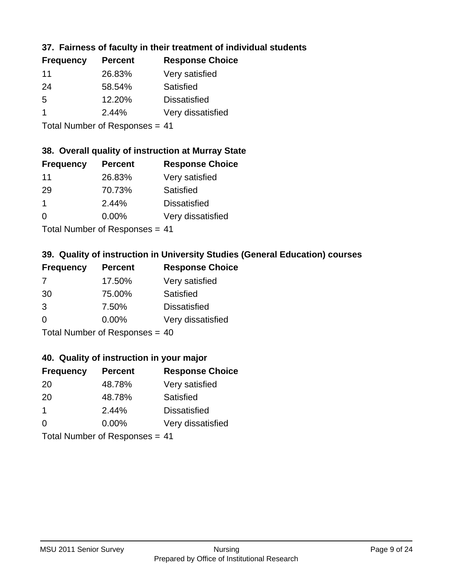## **37. Fairness of faculty in their treatment of individual students**

| <b>Frequency</b> | <b>Percent</b> | <b>Response Choice</b> |
|------------------|----------------|------------------------|
| 11               | 26.83%         | Very satisfied         |
| 24               | 58.54%         | Satisfied              |
| 5                | 12.20%         | <b>Dissatisfied</b>    |
|                  | 2.44%          | Very dissatisfied      |
|                  |                |                        |

Total Number of Responses = 41

#### **38. Overall quality of instruction at Murray State**

| <b>Frequency</b> | <b>Percent</b> | <b>Response Choice</b> |
|------------------|----------------|------------------------|
| 11               | 26.83%         | Very satisfied         |
| 29               | 70.73%         | Satisfied              |
| -1               | 2.44%          | <b>Dissatisfied</b>    |
| $\Omega$         | 0.00%          | Very dissatisfied      |
|                  |                |                        |

Total Number of Responses = 41

## **39. Quality of instruction in University Studies (General Education) courses**

| <b>Frequency</b> | <b>Percent</b>               | <b>Response Choice</b> |
|------------------|------------------------------|------------------------|
| 7                | 17.50%                       | Very satisfied         |
| 30               | 75.00%                       | Satisfied              |
| 3                | 7.50%                        | <b>Dissatisfied</b>    |
| $\Omega$         | 0.00%                        | Very dissatisfied      |
|                  | Total Number of Deepensee 40 |                        |

Total Number of Responses = 40

#### **40. Quality of instruction in your major**

| <b>Frequency</b> | <b>Percent</b>             | <b>Response Choice</b> |
|------------------|----------------------------|------------------------|
| -20              | 48.78%                     | Very satisfied         |
| -20              | 48.78%                     | Satisfied              |
| $\mathbf 1$      | 2.44%                      | <b>Dissatisfied</b>    |
| $\Omega$         | 0.00%                      | Very dissatisfied      |
|                  | Tatal Number of Desperance |                        |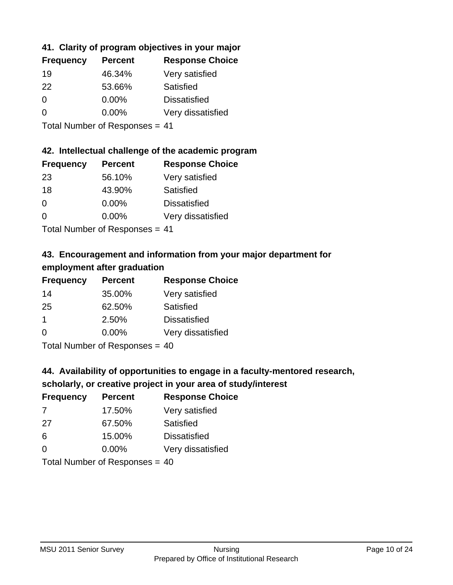## **41. Clarity of program objectives in your major**

| <b>Frequency</b> | <b>Percent</b> | <b>Response Choice</b> |
|------------------|----------------|------------------------|
| 19               | 46.34%         | Very satisfied         |
| 22               | 53.66%         | Satisfied              |
| $\Omega$         | $0.00\%$       | <b>Dissatisfied</b>    |
| O                | $0.00\%$       | Very dissatisfied      |
|                  |                |                        |

Total Number of Responses = 41

## **42. Intellectual challenge of the academic program**

| <b>Frequency</b> | <b>Percent</b> | <b>Response Choice</b> |
|------------------|----------------|------------------------|
| 23               | 56.10%         | Very satisfied         |
| 18               | 43.90%         | Satisfied              |
| $\Omega$         | 0.00%          | <b>Dissatisfied</b>    |
| $\Omega$         | 0.00%          | Very dissatisfied      |
|                  |                |                        |

Total Number of Responses = 41

## **43. Encouragement and information from your major department for employment after graduation**

| <b>Frequency</b> | <b>Percent</b> | <b>Response Choice</b> |
|------------------|----------------|------------------------|
| 14               | 35.00%         | Very satisfied         |
| 25               | 62.50%         | Satisfied              |
| $\mathbf 1$      | 2.50%          | <b>Dissatisfied</b>    |
| $\Omega$         | 0.00%          | Very dissatisfied      |
|                  |                |                        |

Total Number of Responses = 40

## **44. Availability of opportunities to engage in a faculty-mentored research,**

## **scholarly, or creative project in your area of study/interest**

| <b>Frequency</b> | <b>Percent</b> | <b>Response Choice</b> |
|------------------|----------------|------------------------|
| 7                | 17.50%         | Very satisfied         |
| 27               | 67.50%         | Satisfied              |
| 6                | 15.00%         | <b>Dissatisfied</b>    |
| $\Omega$         | 0.00%          | Very dissatisfied      |
|                  |                |                        |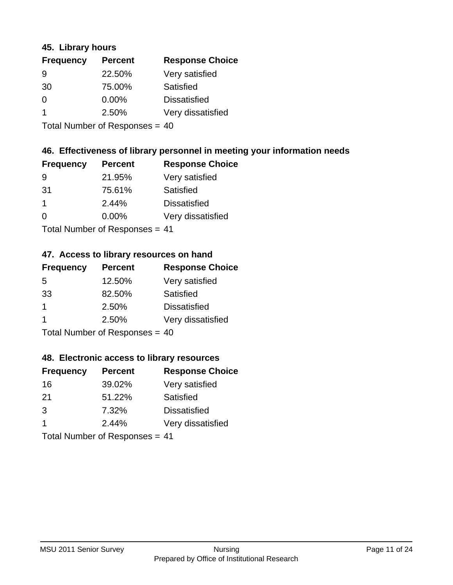#### **45. Library hours**

| <b>Frequency</b> | <b>Percent</b> | <b>Response Choice</b> |
|------------------|----------------|------------------------|
| 9                | 22.50%         | Very satisfied         |
| 30               | 75.00%         | Satisfied              |
| $\Omega$         | 0.00%          | <b>Dissatisfied</b>    |
| -1               | 2.50%          | Very dissatisfied      |
|                  |                |                        |

Total Number of Responses = 40

## **46. Effectiveness of library personnel in meeting your information needs**

| <b>Frequency</b> | <b>Percent</b> | <b>Response Choice</b> |
|------------------|----------------|------------------------|
| 9                | 21.95%         | Very satisfied         |
| -31              | 75.61%         | Satisfied              |
| 1                | 2.44%          | <b>Dissatisfied</b>    |
| $\Omega$         | 0.00%          | Very dissatisfied      |
|                  |                |                        |

Total Number of Responses = 41

## **47. Access to library resources on hand**

| <b>Frequency</b> | <b>Percent</b>             | <b>Response Choice</b> |
|------------------|----------------------------|------------------------|
| 5                | 12.50%                     | Very satisfied         |
| 33               | 82.50%                     | Satisfied              |
| 1                | 2.50%                      | <b>Dissatisfied</b>    |
|                  | 2.50%                      | Very dissatisfied      |
|                  | Total Number of Deepersoon |                        |

Total Number of Responses = 40

#### **48. Electronic access to library resources**

| <b>Frequency</b>               | <b>Percent</b> | <b>Response Choice</b> |
|--------------------------------|----------------|------------------------|
| 16                             | 39.02%         | Very satisfied         |
| 21                             | 51.22%         | Satisfied              |
| 3                              | 7.32%          | <b>Dissatisfied</b>    |
| -1                             | 2.44%          | Very dissatisfied      |
| Total Number of Responses = 41 |                |                        |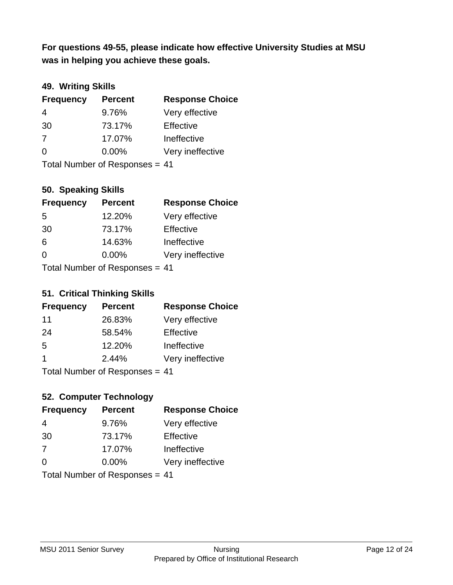**was in helping you achieve these goals. For questions 49-55, please indicate how effective University Studies at MSU** 

## **49. Writing Skills**

| <b>Frequency</b>               | <b>Percent</b> | <b>Response Choice</b> |
|--------------------------------|----------------|------------------------|
| $\overline{4}$                 | 9.76%          | Very effective         |
| 30                             | 73.17%         | Effective              |
| 7                              | 17.07%         | Ineffective            |
| $\Omega$                       | $0.00\%$       | Very ineffective       |
| Total Number of Responses = 41 |                |                        |

## **50. Speaking Skills**

| <b>Frequency</b>                | <b>Percent</b> | <b>Response Choice</b> |
|---------------------------------|----------------|------------------------|
| -5                              | 12.20%         | Very effective         |
| 30                              | 73.17%         | Effective              |
| 6                               | 14.63%         | Ineffective            |
| $\Omega$                        | 0.00%          | Very ineffective       |
| Total Number of Responses $-11$ |                |                        |

Total Number of Responses = 41

#### **51. Critical Thinking Skills**

| <b>Frequency</b> | <b>Percent</b> | <b>Response Choice</b> |
|------------------|----------------|------------------------|
| 11               | 26.83%         | Very effective         |
| 24               | 58.54%         | Effective              |
| 5                | 12.20%         | Ineffective            |
| -1               | 2.44%          | Very ineffective       |
|                  |                |                        |

Total Number of Responses = 41

## **52. Computer Technology**

| <b>Frequency</b>               | <b>Percent</b> | <b>Response Choice</b> |
|--------------------------------|----------------|------------------------|
| 4                              | 9.76%          | Very effective         |
| 30                             | 73.17%         | Effective              |
| 7                              | 17.07%         | Ineffective            |
| $\Omega$                       | $0.00\%$       | Very ineffective       |
| Total Number of Responses = 41 |                |                        |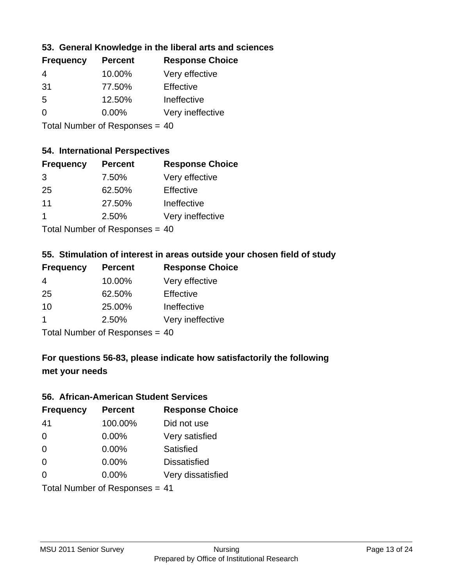## **53. General Knowledge in the liberal arts and sciences**

| <b>Frequency</b> | <b>Percent</b> | <b>Response Choice</b> |
|------------------|----------------|------------------------|
| 4                | 10.00%         | Very effective         |
| -31              | 77.50%         | Effective              |
| .5               | 12.50%         | Ineffective            |
| $\Omega$         | $0.00\%$       | Very ineffective       |
|                  |                |                        |

Total Number of Responses = 40

#### **54. International Perspectives**

| <b>Frequency</b> | <b>Percent</b>                                                                                                 | <b>Response Choice</b> |
|------------------|----------------------------------------------------------------------------------------------------------------|------------------------|
| 3                | 7.50%                                                                                                          | Very effective         |
| 25               | 62.50%                                                                                                         | Effective              |
| 11               | 27.50%                                                                                                         | Ineffective            |
| 1                | 2.50%                                                                                                          | Very ineffective       |
|                  | The INDIAN Contract Contract in the Contract of Contract of Contract of Contract of Contract of Contract of Co |                        |

Total Number of Responses = 40

## **55. Stimulation of interest in areas outside your chosen field of study**

| <b>Frequency</b> | <b>Percent</b>               | <b>Response Choice</b> |
|------------------|------------------------------|------------------------|
| $\overline{4}$   | 10.00%                       | Very effective         |
| 25               | 62.50%                       | Effective              |
| 10               | 25.00%                       | Ineffective            |
|                  | 2.50%                        | Very ineffective       |
|                  | Total Number of Deepensee 40 |                        |

Total Number of Responses = 40

## **For questions 56-83, please indicate how satisfactorily the following met your needs**

#### **56. African-American Student Services**

| <b>Frequency</b>               | <b>Percent</b> | <b>Response Choice</b> |
|--------------------------------|----------------|------------------------|
| 41                             | 100.00%        | Did not use            |
| $\Omega$                       | 0.00%          | Very satisfied         |
| $\Omega$                       | 0.00%          | Satisfied              |
| $\Omega$                       | $0.00\%$       | <b>Dissatisfied</b>    |
| $\Omega$                       | 0.00%          | Very dissatisfied      |
| Total Number of Responses = 41 |                |                        |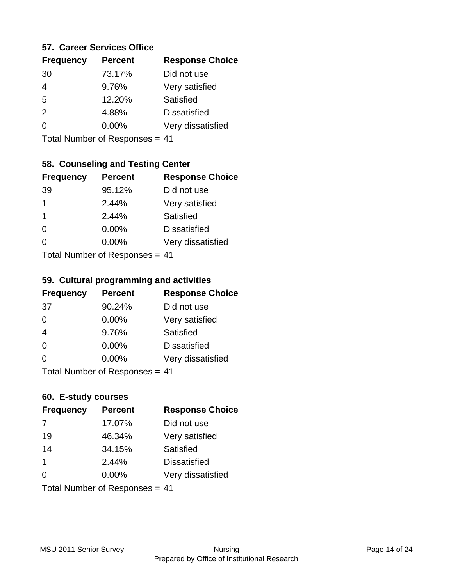#### **57. Career Services Office**

| <b>Frequency</b> | <b>Percent</b> | <b>Response Choice</b> |
|------------------|----------------|------------------------|
| 30               | 73.17%         | Did not use            |
| 4                | 9.76%          | Very satisfied         |
| 5                | 12.20%         | Satisfied              |
| $\mathcal{P}$    | 4.88%          | <b>Dissatisfied</b>    |
|                  | $0.00\%$       | Very dissatisfied      |
|                  |                |                        |

Total Number of Responses = 41

## **58. Counseling and Testing Center**

| <b>Frequency</b>             | <b>Percent</b> | <b>Response Choice</b> |
|------------------------------|----------------|------------------------|
| 39                           | 95.12%         | Did not use            |
| 1                            | 2.44%          | Very satisfied         |
| 1                            | 2.44%          | <b>Satisfied</b>       |
| $\Omega$                     | 0.00%          | <b>Dissatisfied</b>    |
| ∩                            | 0.00%          | Very dissatisfied      |
| Total Number of Deepensee 44 |                |                        |

Total Number of Responses = 41

#### **59. Cultural programming and activities**

| <b>Frequency</b> | <b>Percent</b>                  | <b>Response Choice</b> |
|------------------|---------------------------------|------------------------|
| 37               | 90.24%                          | Did not use            |
| $\Omega$         | $0.00\%$                        | Very satisfied         |
| $\overline{4}$   | 9.76%                           | Satisfied              |
| $\Omega$         | 0.00%                           | <b>Dissatisfied</b>    |
| $\Omega$         | 0.00%                           | Very dissatisfied      |
|                  | $Total Number of Doeponee = 44$ |                        |

Total Number of Responses = 41

#### **60. E-study courses**

| <b>Frequency</b>               | <b>Percent</b> | <b>Response Choice</b> |
|--------------------------------|----------------|------------------------|
| 7                              | 17.07%         | Did not use            |
| 19                             | 46.34%         | Very satisfied         |
| 14                             | 34.15%         | Satisfied              |
| $\mathbf 1$                    | 2.44%          | <b>Dissatisfied</b>    |
| $\Omega$                       | 0.00%          | Very dissatisfied      |
| Total Number of Responses = 41 |                |                        |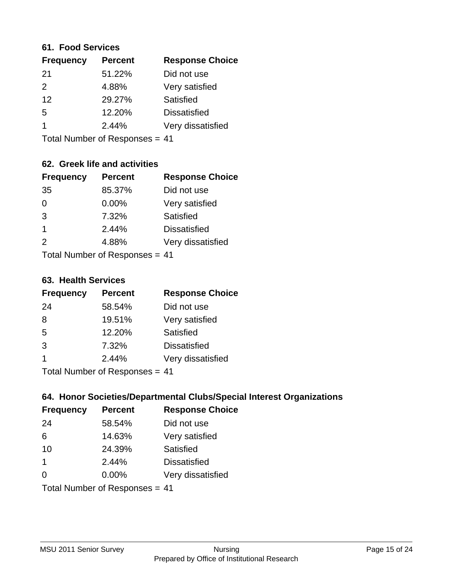#### **61. Food Services**

| <b>Percent</b> | <b>Response Choice</b> |
|----------------|------------------------|
| 51.22%         | Did not use            |
| 4.88%          | Very satisfied         |
| 29.27%         | Satisfied              |
| 12.20%         | <b>Dissatisfied</b>    |
| 2.44%          | Very dissatisfied      |
|                |                        |

Total Number of Responses = 41

## **62. Greek life and activities**

| <b>Frequency</b>               | <b>Percent</b> | <b>Response Choice</b> |
|--------------------------------|----------------|------------------------|
| 35                             | 85.37%         | Did not use            |
| 0                              | 0.00%          | Very satisfied         |
| 3                              | 7.32%          | Satisfied              |
| 1                              | 2.44%          | <b>Dissatisfied</b>    |
| 2                              | 4.88%          | Very dissatisfied      |
| Total Number of Responses = 41 |                |                        |

#### **63. Health Services**

| <b>Frequency</b> | <b>Percent</b> | <b>Response Choice</b> |
|------------------|----------------|------------------------|
| 24               | 58.54%         | Did not use            |
| 8                | 19.51%         | Very satisfied         |
| 5                | 12.20%         | Satisfied              |
| 3                | 7.32%          | <b>Dissatisfied</b>    |
| -1               | 2.44%          | Very dissatisfied      |
|                  |                |                        |

Total Number of Responses = 41

## **64. Honor Societies/Departmental Clubs/Special Interest Organizations**

| <b>Frequency</b>               | <b>Percent</b> | <b>Response Choice</b> |
|--------------------------------|----------------|------------------------|
| 24                             | 58.54%         | Did not use            |
| 6                              | 14.63%         | Very satisfied         |
| 10                             | 24.39%         | Satisfied              |
| $\mathbf 1$                    | 2.44%          | <b>Dissatisfied</b>    |
| $\Omega$                       | 0.00%          | Very dissatisfied      |
| Total Number of Responses = 41 |                |                        |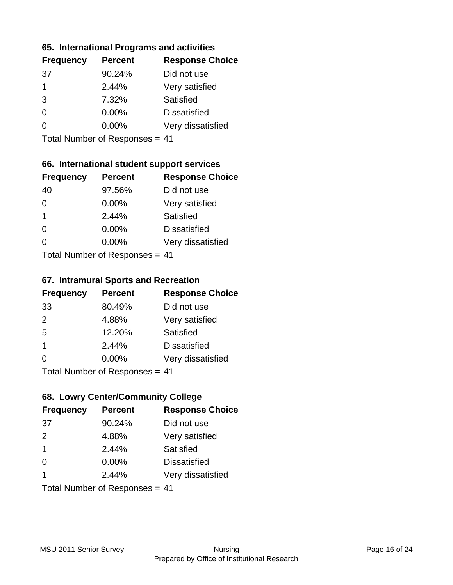## **65. International Programs and activities**

| <b>Percent</b> | <b>Response Choice</b> |
|----------------|------------------------|
| 90.24%         | Did not use            |
| 2.44%          | Very satisfied         |
| 7.32%          | Satisfied              |
| 0.00%          | <b>Dissatisfied</b>    |
| $0.00\%$       | Very dissatisfied      |
|                |                        |

Total Number of Responses = 41

## **66. International student support services**

| <b>Frequency</b> | <b>Percent</b>                  | <b>Response Choice</b> |
|------------------|---------------------------------|------------------------|
| 40               | 97.56%                          | Did not use            |
| $\Omega$         | 0.00%                           | Very satisfied         |
| $\mathbf 1$      | 2.44%                           | <b>Satisfied</b>       |
| $\Omega$         | 0.00%                           | <b>Dissatisfied</b>    |
| $\Omega$         | 0.00%                           | Very dissatisfied      |
|                  | $Total Number of Doeponee = 44$ |                        |

Total Number of Responses = 41

#### **67. Intramural Sports and Recreation**

| <b>Frequency</b> | <b>Percent</b>               | <b>Response Choice</b> |
|------------------|------------------------------|------------------------|
| 33               | 80.49%                       | Did not use            |
| 2                | 4.88%                        | Very satisfied         |
| 5                | 12.20%                       | Satisfied              |
| $\mathbf 1$      | 2.44%                        | <b>Dissatisfied</b>    |
| $\Omega$         | 0.00%                        | Very dissatisfied      |
|                  | Total Number of Deepensee 44 |                        |

Total Number of Responses = 41

## **68. Lowry Center/Community College**

| <b>Frequency</b>               | <b>Percent</b> | <b>Response Choice</b> |
|--------------------------------|----------------|------------------------|
| 37                             | 90.24%         | Did not use            |
| 2                              | 4.88%          | Very satisfied         |
| $\mathbf 1$                    | 2.44%          | Satisfied              |
| $\Omega$                       | $0.00\%$       | <b>Dissatisfied</b>    |
| $\overline{\mathbf{1}}$        | 2.44%          | Very dissatisfied      |
| Total Number of Responses = 41 |                |                        |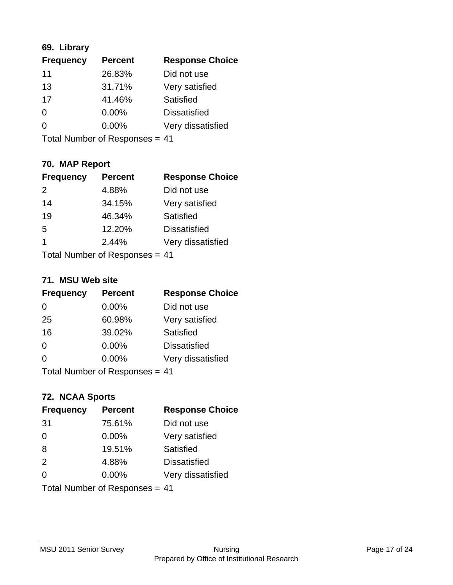## **69. Library**

| <b>Frequency</b> | <b>Percent</b> | <b>Response Choice</b> |
|------------------|----------------|------------------------|
| 11               | 26.83%         | Did not use            |
| 13               | 31.71%         | Very satisfied         |
| 17               | 41.46%         | Satisfied              |
| $\Omega$         | 0.00%          | <b>Dissatisfied</b>    |
| $\Omega$         | 0.00%          | Very dissatisfied      |
|                  |                |                        |

Total Number of Responses = 41

## **70. MAP Report**

| <b>Frequency</b>               | <b>Percent</b> | <b>Response Choice</b> |
|--------------------------------|----------------|------------------------|
| 2                              | 4.88%          | Did not use            |
| 14                             | 34.15%         | Very satisfied         |
| 19                             | 46.34%         | Satisfied              |
| 5                              | 12.20%         | <b>Dissatisfied</b>    |
| 1                              | 2.44%          | Very dissatisfied      |
| Total Number of Responses = 41 |                |                        |

#### **71. MSU Web site**

| <b>Frequency</b>               | <b>Percent</b> | <b>Response Choice</b> |
|--------------------------------|----------------|------------------------|
| $\Omega$                       | 0.00%          | Did not use            |
| 25                             | 60.98%         | Very satisfied         |
| 16                             | 39.02%         | Satisfied              |
| $\Omega$                       | 0.00%          | <b>Dissatisfied</b>    |
| $\Omega$                       | 0.00%          | Very dissatisfied      |
| Total Number of Responses = 41 |                |                        |

## **72. NCAA Sports**

| <b>Frequency</b>               | <b>Percent</b> | <b>Response Choice</b> |
|--------------------------------|----------------|------------------------|
| 31                             | 75.61%         | Did not use            |
| $\Omega$                       | 0.00%          | Very satisfied         |
| 8                              | 19.51%         | Satisfied              |
| 2                              | 4.88%          | <b>Dissatisfied</b>    |
| $\Omega$                       | $0.00\%$       | Very dissatisfied      |
| Total Number of Responses = 41 |                |                        |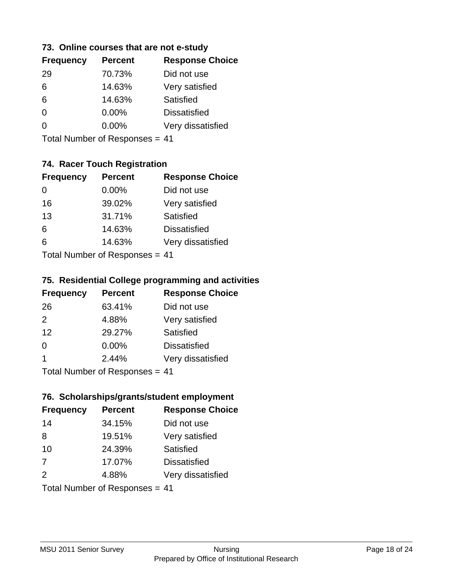## **73. Online courses that are not e-study**

| <b>Percent</b> | <b>Response Choice</b> |
|----------------|------------------------|
| 70.73%         | Did not use            |
| 14.63%         | Very satisfied         |
| 14.63%         | Satisfied              |
| $0.00\%$       | <b>Dissatisfied</b>    |
| $0.00\%$       | Very dissatisfied      |
|                |                        |

Total Number of Responses = 41

## **74. Racer Touch Registration**

| <b>Frequency</b>                 | <b>Percent</b> | <b>Response Choice</b> |
|----------------------------------|----------------|------------------------|
| 0                                | $0.00\%$       | Did not use            |
| 16                               | 39.02%         | Very satisfied         |
| 13                               | 31.71%         | Satisfied              |
| 6                                | 14.63%         | <b>Dissatisfied</b>    |
| 6                                | 14.63%         | Very dissatisfied      |
| $Total Number of Doeponeee - 44$ |                |                        |

Total Number of Responses = 41

## **75. Residential College programming and activities**

| <b>Frequency</b> | <b>Percent</b>             | <b>Response Choice</b> |
|------------------|----------------------------|------------------------|
| 26               | 63.41%                     | Did not use            |
| $\mathcal{P}$    | 4.88%                      | Very satisfied         |
| 12               | 29.27%                     | Satisfied              |
| $\Omega$         | 0.00%                      | <b>Dissatisfied</b>    |
| -1               | 2.44%                      | Very dissatisfied      |
|                  | Tatal Number of Desperance |                        |

Total Number of Responses = 41

## **76. Scholarships/grants/student employment**

| <b>Frequency</b>               | <b>Percent</b> | <b>Response Choice</b> |
|--------------------------------|----------------|------------------------|
| 14                             | 34.15%         | Did not use            |
| 8                              | 19.51%         | Very satisfied         |
| 10                             | 24.39%         | Satisfied              |
| 7                              | 17.07%         | <b>Dissatisfied</b>    |
| 2                              | 4.88%          | Very dissatisfied      |
| Total Number of Responses = 41 |                |                        |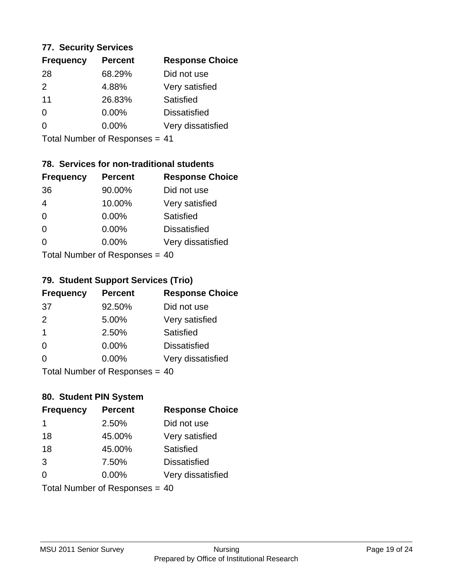#### **77. Security Services**

| <b>Percent</b> | <b>Response Choice</b> |
|----------------|------------------------|
| 68.29%         | Did not use            |
| 4.88%          | Very satisfied         |
| 26.83%         | Satisfied              |
| 0.00%          | <b>Dissatisfied</b>    |
| $0.00\%$       | Very dissatisfied      |
|                |                        |

Total Number of Responses = 41

## **78. Services for non-traditional students**

| <b>Frequency</b>          | <b>Percent</b> | <b>Response Choice</b> |
|---------------------------|----------------|------------------------|
| 36                        | 90.00%         | Did not use            |
| $\overline{4}$            | 10.00%         | Very satisfied         |
| $\Omega$                  | $0.00\%$       | <b>Satisfied</b>       |
| $\Omega$                  | 0.00%          | <b>Dissatisfied</b>    |
| $\Omega$                  | 0.00%          | Very dissatisfied      |
| Total Number of Desponses |                |                        |

Total Number of Responses = 40

#### **79. Student Support Services (Trio)**

| <b>Frequency</b>               | <b>Percent</b> | <b>Response Choice</b> |
|--------------------------------|----------------|------------------------|
| -37                            | 92.50%         | Did not use            |
| 2                              | 5.00%          | Very satisfied         |
| -1                             | 2.50%          | Satisfied              |
| $\Omega$                       | $0.00\%$       | <b>Dissatisfied</b>    |
| $\Omega$                       | $0.00\%$       | Very dissatisfied      |
| Total Number of Responses = 40 |                |                        |

## **80. Student PIN System**

| <b>Frequency</b> | <b>Percent</b>                 | <b>Response Choice</b> |
|------------------|--------------------------------|------------------------|
| -1               | 2.50%                          | Did not use            |
| 18               | 45.00%                         | Very satisfied         |
| 18               | 45.00%                         | <b>Satisfied</b>       |
| 3                | 7.50%                          | <b>Dissatisfied</b>    |
| $\Omega$         | $0.00\%$                       | Very dissatisfied      |
|                  | Total Number of Responses = 40 |                        |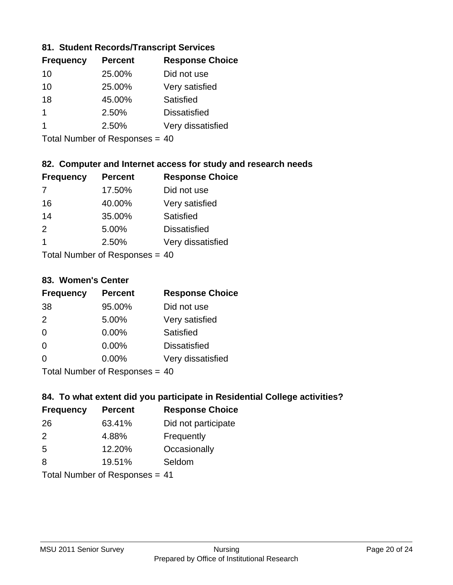## **81. Student Records/Transcript Services**

| <b>Frequency</b> | <b>Percent</b> | <b>Response Choice</b> |
|------------------|----------------|------------------------|
| 10               | 25.00%         | Did not use            |
| 10               | 25.00%         | Very satisfied         |
| 18               | 45.00%         | Satisfied              |
|                  | 2.50%          | <b>Dissatisfied</b>    |
|                  | 2.50%          | Very dissatisfied      |

Total Number of Responses = 40

## **82. Computer and Internet access for study and research needs**

| <b>Frequency</b> | <b>Percent</b>                           | <b>Response Choice</b> |
|------------------|------------------------------------------|------------------------|
|                  | 17.50%                                   | Did not use            |
| 16               | 40.00%                                   | Very satisfied         |
| 14               | 35.00%                                   | Satisfied              |
| 2                | 5.00%                                    | <b>Dissatisfied</b>    |
| 1                | 2.50%                                    | Very dissatisfied      |
|                  | $T$ at all Message and $D$ are a serious |                        |

Total Number of Responses = 40

#### **83. Women's Center**

| <b>Frequency</b>          | <b>Percent</b> | <b>Response Choice</b> |
|---------------------------|----------------|------------------------|
| 38                        | 95.00%         | Did not use            |
| 2                         | 5.00%          | Very satisfied         |
| $\Omega$                  | $0.00\%$       | <b>Satisfied</b>       |
| $\Omega$                  | $0.00\%$       | <b>Dissatisfied</b>    |
| $\Omega$                  | 0.00%          | Very dissatisfied      |
| Total Number of Desponses |                |                        |

Total Number of Responses = 40

## **84. To what extent did you participate in Residential College activities?**

| <b>Frequency</b> | <b>Percent</b>             | <b>Response Choice</b> |
|------------------|----------------------------|------------------------|
| 26               | 63.41%                     | Did not participate    |
| $\mathcal{P}$    | 4.88%                      | Frequently             |
| -5               | 12.20%                     | Occasionally           |
| 8                | 19.51%                     | Seldom                 |
|                  | Total Number of Deepersoon |                        |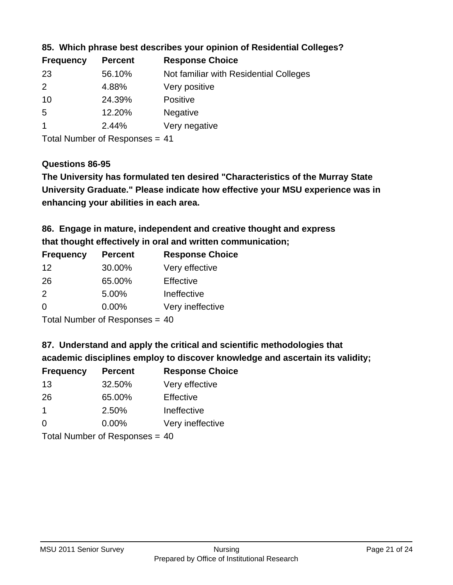| <b>Frequency</b> | <b>Percent</b> | <b>Response Choice</b>                 |
|------------------|----------------|----------------------------------------|
| 23               | 56.10%         | Not familiar with Residential Colleges |
| 2                | 4.88%          | Very positive                          |
| 10               | 24.39%         | <b>Positive</b>                        |
| -5               | 12.20%         | <b>Negative</b>                        |
|                  | 2.44%          | Very negative                          |
|                  |                |                                        |

## **85. Which phrase best describes your opinion of Residential Colleges?**

Total Number of Responses = 41

#### **Questions 86-95**

**University Graduate." Please indicate how effective your MSU experience was in The University has formulated ten desired "Characteristics of the Murray State enhancing your abilities in each area.**

## **86. Engage in mature, independent and creative thought and express that thought effectively in oral and written communication;**

| <b>Frequency</b> | <b>Percent</b> | <b>Response Choice</b> |
|------------------|----------------|------------------------|
| 12               | 30.00%         | Very effective         |
| 26               | 65.00%         | Effective              |
| $\mathcal{P}$    | 5.00%          | Ineffective            |
| $\Omega$         | $0.00\%$       | Very ineffective       |

Total Number of Responses = 40

#### **87. Understand and apply the critical and scientific methodologies that**

**academic disciplines employ to discover knowledge and ascertain its validity;**

| <b>Frequency</b> | <b>Percent</b>                                                                                                  | <b>Response Choice</b> |
|------------------|-----------------------------------------------------------------------------------------------------------------|------------------------|
| 13               | 32.50%                                                                                                          | Very effective         |
| 26               | 65.00%                                                                                                          | Effective              |
| $\mathbf 1$      | 2.50%                                                                                                           | Ineffective            |
| $\Omega$         | 0.00%                                                                                                           | Very ineffective       |
|                  | The Little and the Little Communication of the Communication of the Communication of the Communication of the U |                        |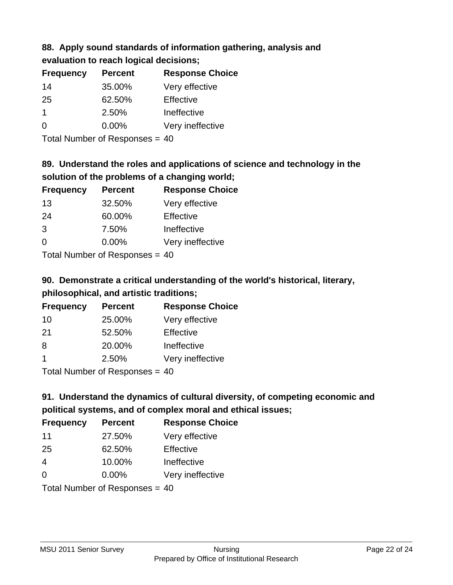# **88. Apply sound standards of information gathering, analysis and**

**evaluation to reach logical decisions;**

| <b>Frequency</b> | <b>Percent</b> | <b>Response Choice</b> |
|------------------|----------------|------------------------|
| 14               | 35.00%         | Very effective         |
| 25               | 62.50%         | Effective              |
| 1                | 2.50%          | Ineffective            |
| $\Omega$         | $0.00\%$       | Very ineffective       |

Total Number of Responses = 40

## **89. Understand the roles and applications of science and technology in the solution of the problems of a changing world;**

| <b>Frequency</b> | <b>Percent</b> | <b>Response Choice</b> |
|------------------|----------------|------------------------|
| 13               | 32.50%         | Very effective         |
| 24               | 60.00%         | Effective              |
| 3                | 7.50%          | Ineffective            |
| $\Omega$         | 0.00%          | Very ineffective       |
|                  |                |                        |

Total Number of Responses = 40

## **90. Demonstrate a critical understanding of the world's historical, literary, philosophical, and artistic traditions;**

| <b>Frequency</b> | <b>Percent</b> | <b>Response Choice</b> |
|------------------|----------------|------------------------|
| 10               | 25.00%         | Very effective         |
| 21               | 52.50%         | Effective              |
| 8                | 20.00%         | Ineffective            |
|                  | 2.50%          | Very ineffective       |
|                  |                |                        |

Total Number of Responses = 40

## **91. Understand the dynamics of cultural diversity, of competing economic and political systems, and of complex moral and ethical issues;**

| <b>Frequency</b> | <b>Percent</b>                 | <b>Response Choice</b> |
|------------------|--------------------------------|------------------------|
| 11               | 27.50%                         | Very effective         |
| 25               | 62.50%                         | Effective              |
| $\overline{4}$   | 10.00%                         | Ineffective            |
| $\Omega$         | $0.00\%$                       | Very ineffective       |
|                  | Total Number of Responses = 40 |                        |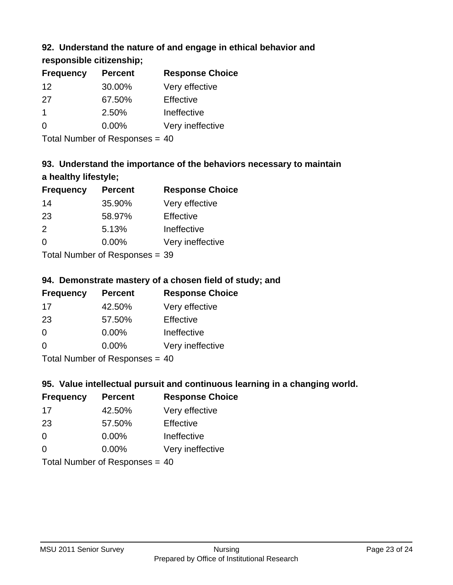## **92. Understand the nature of and engage in ethical behavior and**

**responsible citizenship;**

| <b>Frequency</b> | <b>Percent</b> | <b>Response Choice</b> |
|------------------|----------------|------------------------|
| 12               | 30.00%         | Very effective         |
| 27               | 67.50%         | Effective              |
|                  | 2.50%          | Ineffective            |
| $\Omega$         | $0.00\%$       | Very ineffective       |
|                  |                |                        |

Total Number of Responses = 40

## **93. Understand the importance of the behaviors necessary to maintain a healthy lifestyle;**

| <b>Frequency</b> | <b>Percent</b>               | <b>Response Choice</b> |
|------------------|------------------------------|------------------------|
| 14               | 35.90%                       | Very effective         |
| 23               | 58.97%                       | Effective              |
| $\mathcal{P}$    | 5.13%                        | Ineffective            |
| $\Omega$         | 0.00%                        | Very ineffective       |
|                  | $\tau$ . The state of $\sim$ |                        |

Total Number of Responses = 39

## **94. Demonstrate mastery of a chosen field of study; and**

| <b>Frequency</b> | <b>Percent</b> | <b>Response Choice</b> |
|------------------|----------------|------------------------|
| 17               | 42.50%         | Very effective         |
| 23               | 57.50%         | Effective              |
| $\Omega$         | $0.00\%$       | Ineffective            |
| $\Omega$         | $0.00\%$       | Very ineffective       |
|                  |                |                        |

Total Number of Responses = 40

## **95. Value intellectual pursuit and continuous learning in a changing world.**

| <b>Frequency</b> | <b>Percent</b>             | <b>Response Choice</b> |
|------------------|----------------------------|------------------------|
| 17               | 42.50%                     | Very effective         |
| 23               | 57.50%                     | Effective              |
| $\Omega$         | $0.00\%$                   | Ineffective            |
| $\Omega$         | 0.00%                      | Very ineffective       |
|                  | Tetal Number of Desperance |                        |